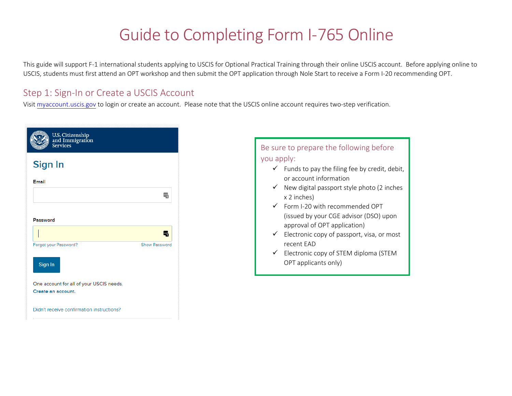# Guide to Completing Form I-765 Online

This guide will support F-1 international students applying to USCIS for Optional Practical Training through their online USCIS account. Before applying online to USCIS, students must first attend an OPT workshop and then submit the OPT application through Nole Start to receive a Form I-20 recommending OPT.

### Step 1: Sign-In or Create [a USCIS Account](http://www.marshall.edu/iss/optional-practical-training)

Visit myaccount.uscis.gov to login or create an account. Please note that the USCIS online account requires two-step verification.

| U.S. Citizenship<br>and Immigration<br>Services                |                      |
|----------------------------------------------------------------|----------------------|
| Sign In                                                        |                      |
| Email                                                          |                      |
|                                                                | L۳                   |
| Password                                                       |                      |
|                                                                |                      |
| Forgot your Password?<br>Sign In                               | <b>Show Password</b> |
| One account for all of your USCIS needs.<br>Create an account. |                      |
| Didn't receive confirmation instructions?                      |                      |

#### Be sure to prepare the following before you apply:

- $\checkmark$  Funds to pay the filing fee by credit, debit, or account information
- $\checkmark$  New digital passport style photo (2 inches x 2 inches)
- $\checkmark$  Form I-20 with recommended OPT (issued by your CGE advisor (DSO) upon approval of OPT application)
- $\checkmark$  Electronic copy of passport, visa, or most recent EAD
- $\checkmark$  Electronic copy of STEM diploma (STEM OPT applicants only)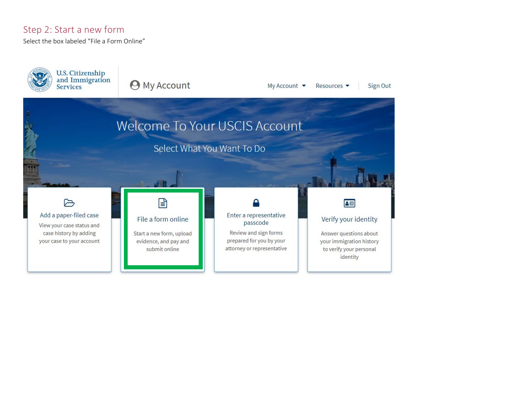#### Step 2: Start a new form

Select the box labeled "File a Form Online"

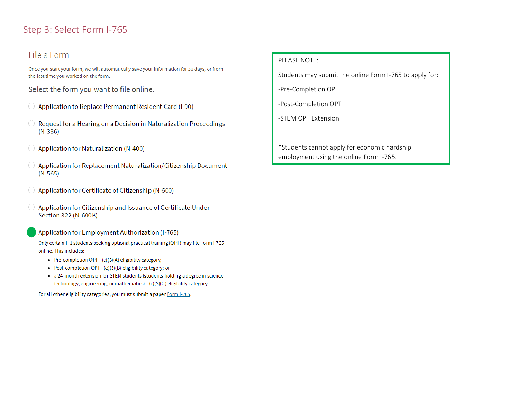### Step 3: Select Form I-765

#### File a Form

Once you start your form, we will automatically save your information for 30 days, or from the last time you worked on the form.

Select the form you want to file online.

- ◯ Application to Replace Permanent Resident Card (I-90)
- $\bigcirc$  Request for a Hearing on a Decision in Naturalization Proceedings  $(N-336)$
- $\bigcirc$  Application for Naturalization (N-400)
- $\bigcirc$  Application for Replacement Naturalization/Citizenship Document  $(N-565)$
- ◯ Application for Certificate of Citizenship (N-600)
- $\bigcirc$  Application for Citizenship and Issuance of Certificate Under Section 322 (N-600K)
	- Application for Employment Authorization (I-765)

Only certain F-1 students seeking optional practical training (OPT) may file Form I-765 online. This includes:

- Pre-completion OPT (c)(3)(A) eligibility category;
- Post-completion OPT (c)(3)(B) eligibility category; or
- a 24-month extension for STEM students (students holding a degree in science technology, engineering, or mathematics) - (c)(3)(C) eligibility category.

For all other eligibility categories, you must submit a paper Form I-765.

#### PLEASE NOTE:

Students may submit the online Form I-765 to apply for:

-Pre-Completion OPT

-Post-Completion OPT

-STEM OPT Extension

\*Students cannot apply for economic hardship employment using the online Form I-765.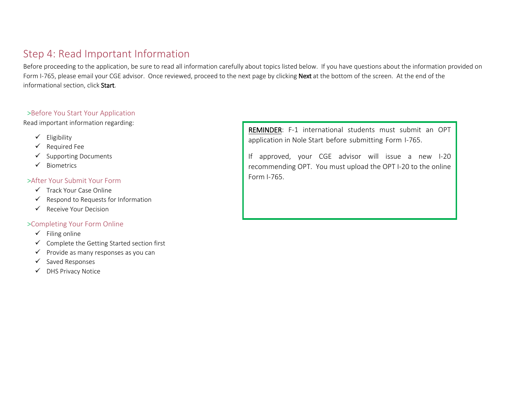# Step 4: Read Important Information

Before proceeding to the application, be sure to read all information carefully about topics listed below. If you have questions about the information provided on Form I-765, please email your CGE advisor. Once reviewed, proceed to the next page by clicking Next at the bottom of the screen. At the end of the informational section, click Start.

#### >Before You Start Your Application

Read important information regarding:

- $\checkmark$  Eligibility
- $\checkmark$  Required Fee
- $\checkmark$  Supporting Documents
- $\checkmark$  Biometrics

#### >After Your Submit Your Form

- $\checkmark$  Track Your Case Online
- $\checkmark$  Respond to Requests for Information
- $\checkmark$  Receive Your Decision

#### >Completing Your Form Online

- $\checkmark$  Filing online
- $\checkmark$  Complete the Getting Started section first
- $\checkmark$  Provide as many responses as you can
- $\checkmark$  Saved Responses
- DHS Privacy Notice

REMINDER: F-1 international students must submit an OPT application in Nole Start before submitting Form I-765.

If approved, your CGE advisor will issue a new I-20 recommending OPT. You [must upload the OPT I-20](http://www.marshall.edu/iss/optapplication) to the online Form I-765.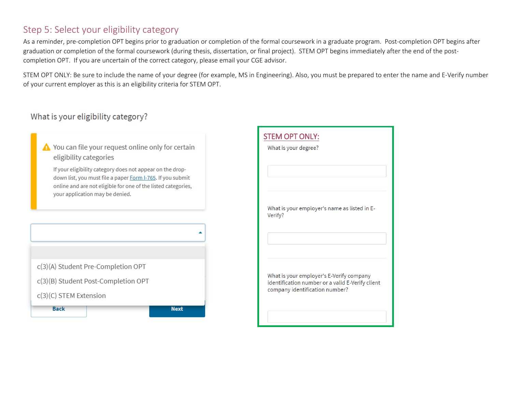### Step 5: Select your eligibility category

As a reminder, pre-completion OPT begins prior to graduation or completion of the formal coursework in a graduate program. Post-completion OPT begins after graduation or completion of the formal coursework (during thesis, dissertation, or final project). STEM OPT begins immediately after the end of the postcompletion OPT. If you are uncertain of the correct category, please email [your CGE advisor.](mailto:iss@marshall.edu)

STEM OPT ONLY: Be sure to include the name of your degree (for example, MS in Engineering). Also, you must be prepared to enter the name and E-Verify number of your current employer as this is an eligibility criteria for STEM OPT.

### What is your eligibility category?

A You can file your request online only for certain eligibility categories

If your eligibility category does not appear on the dropdown list, you must file a paper Form I-765. If you submit online and are not eligible for one of the listed categories, your application may be denied.



| What is your degree?                                                                                                           |
|--------------------------------------------------------------------------------------------------------------------------------|
| What is your employer's name as listed in E-<br>Verify?                                                                        |
| What is your employer's E-Verify company<br>identification number or a valid E-Verify client<br>company identification number? |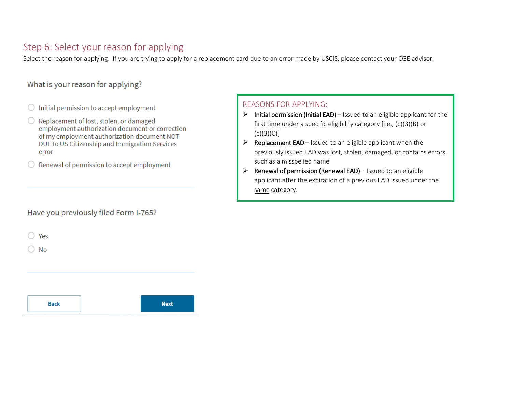### Step 6: Select your reason for applying

Select the reason for applying. If you are trying to apply for a replacement card due to an error made by USCIS, please contact your CGE advisor.

#### What is your reason for applying?

- $\bigcirc$  Initial permission to accept employment
- Replacement of lost, stolen, or damaged  $\bigcirc$ employment authorization document or correction of my employment authorization document NOT DUE to US Citizenship and Immigration Services error
- Renewal of permission to accept employment

#### Have you previously filed Form I-765?

 $\bigcirc$  Yes

 $\bigcirc$  No

#### REASONS FOR APPLYING:

- $\triangleright$  Initial permission (Initial EAD) Issued to an eligible applicant for the first time under a specific eligibility category [i.e., (c)(3)(B) or  $(c)(3)(C)]$
- $\triangleright$  Replacement EAD Issued to an eligible applicant when the previously issued EAD was lost, stolen, damaged, or contains errors, such as a misspelled name
- $\triangleright$  Renewal of permission (Renewal EAD) Issued to an eligible applicant after the expiration of a previous EAD issued under the same category.

| <b>Back</b> | <b>Next</b> |
|-------------|-------------|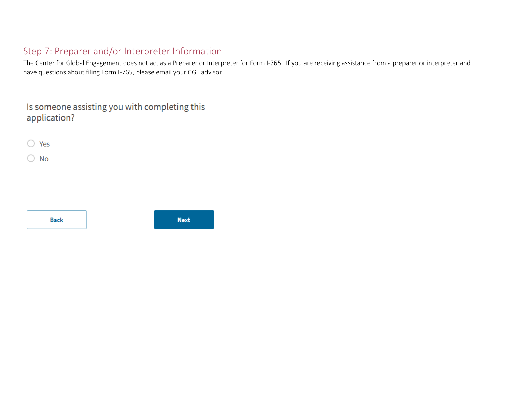# Step 7: Preparer and/or Interpreter Information

The Center for Global Engagement does not act as a Preparer or Interpreter for Form I-765. If you are receiving assistance from a preparer or interpreter and have questions about filing Form I-765, please email you[r CGE advisor.](mailto:iss@marshall.edu)

| Is someone assisting you with completing this |  |
|-----------------------------------------------|--|
| application?                                  |  |

| $\bigcirc$ Yes                      |             |
|-------------------------------------|-------------|
| <b>No</b><br>$\left( \quad \right)$ |             |
|                                     |             |
|                                     |             |
|                                     |             |
|                                     |             |
| <b>Back</b>                         | <b>Next</b> |
|                                     |             |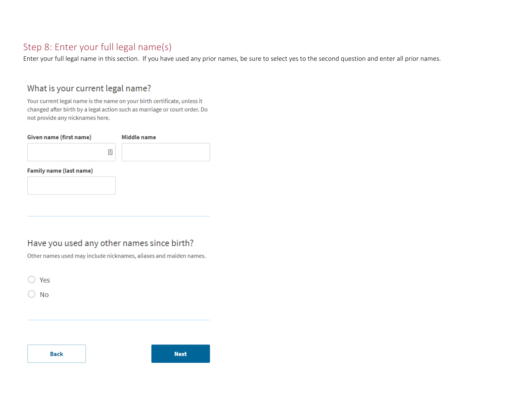### Step 8: Enter your full legal name(s)

Enter your full legal name in this section. If you have used any prior names, be sure to select yes to the second question and enter all prior names.

#### What is your current legal name?

Your current legal name is the name on your birth certificate, unless it changed after birth by a legal action such as marriage or court order. Do not provide any nicknames here.

| Given name (first name)        | Middle name |
|--------------------------------|-------------|
|                                | Ŀ.          |
| <b>Family name (last name)</b> |             |
|                                |             |

### Have you used any other names since birth?

Other names used may include nicknames, aliases and maiden names.

 $\bigcirc$  Yes

 $\bigcirc$  No

**Back**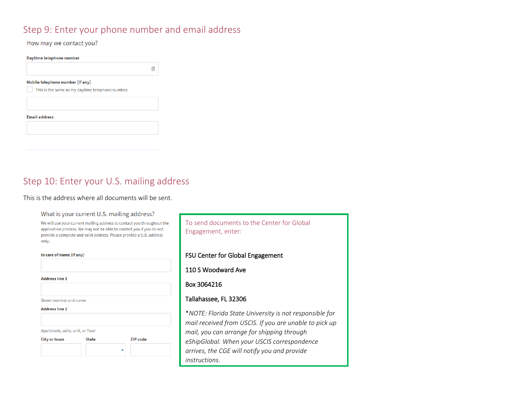### Step 9: Enter your phone number and email address

 $\mathrel{\mathop=}$ 

#### How may we contact you?

#### Daytime telephone number

#### Mobile telephone number (if any)

This is the same as my daytime telephone number.

#### **Email address**

### Step 10: Enter your U.S. mailing address

#### This is the address where all documents will be sent.

#### What is your current U.S. mailing address?

We will use your current mailing address to contact you throughout the application process. We may not be able to contact you if you do not provide a complete and valid address. Please provide a U.S. address only.

In care of name (if any)

**Address line 1** 

Street number and name

#### **Address line 2**

Apartment, suite, unit, or floor



To send documents to the Center for Global Engagement, enter:

#### FSU Center for Global Engagement

110 S Woodward Ave

#### Box 3064216

#### Tallahassee, FL 32306

\**NOTE: Florida State University is not responsible for mail received from USCIS. If you are unable to pick up mail, you can arrange for shipping through eShipGlobal. When your USCIS correspondence arrives, the CGE will notify you and provide instructions.*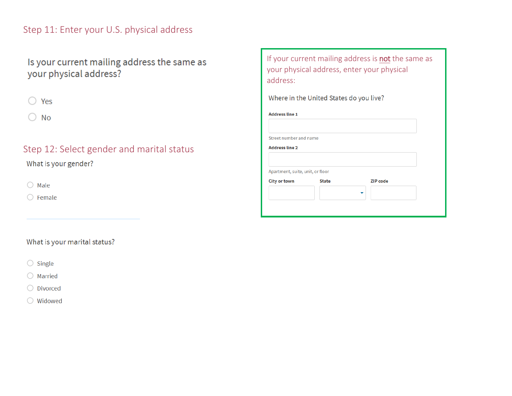### Step 11: Enter your U.S. physical address

Is your current mailing address the same as your physical address?

|--|

 $\bigcirc$  No

## Step 12: Select gender and marital status

What is your gender?

 $\bigcirc$  Male

 $\bigcirc$  Female

### What is your marital status?

- $\bigcirc$  Single
- $\bigcirc$  Married
- O Divorced
- ◯ Widowed

| address:                                                |                                         | If your current mailing address is not the same as<br>your physical address, enter your physical |
|---------------------------------------------------------|-----------------------------------------|--------------------------------------------------------------------------------------------------|
|                                                         | Where in the United States do you live? |                                                                                                  |
| <b>Address line 1</b>                                   |                                         |                                                                                                  |
| Street number and name<br><b>Address line 2</b>         |                                         |                                                                                                  |
|                                                         |                                         |                                                                                                  |
| Apartment, suite, unit, or floor<br><b>City or town</b> | <b>State</b>                            | <b>ZIP</b> code                                                                                  |
|                                                         |                                         |                                                                                                  |
|                                                         |                                         |                                                                                                  |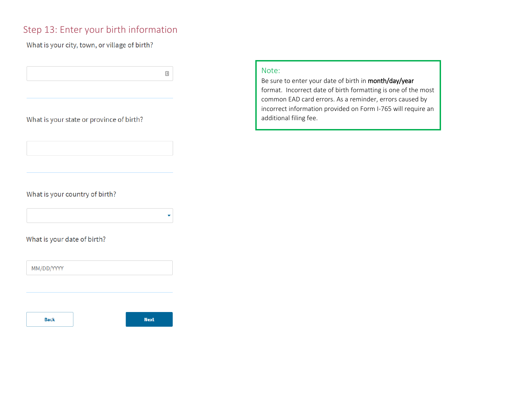### Step 13: Enter your birth information

#### What is your city, town, or village of birth?

#### What is your state or province of birth?

#### What is your country of birth?

What is your date of birth?

MM/DD/YYYY

**Back** 



 $\overline{\triangleq}$ 

÷

#### Note:

Be sure to enter your date of birth in month/day/year format. Incorrect date of birth formatting is one of the most common EAD card errors. As a reminder, errors caused by incorrect information provided on Form I-765 will require an additional filing fee.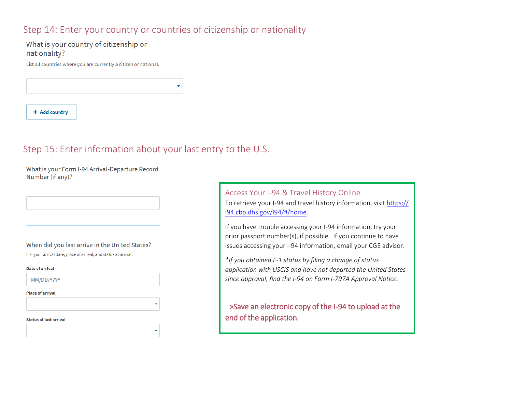### Step 14: Enter your country or countries of citizenship or nationality

#### What is your country of citizenship or nationality?

List all countries where you are currently a citizen or national.

+ Add country

### Step 15: Enter information about your last entry to the U.S.

What is your Form I-94 Arrival-Departure Record Number (if any)?

#### When did you last arrive in the United States?

List your arrival date, place of arrival, and status at arrival.

| Date of arrival               |  |
|-------------------------------|--|
| MM/DD/YYYY                    |  |
| <b>Place of arrival</b>       |  |
|                               |  |
| <b>Status at last arrival</b> |  |
|                               |  |

Access Your I-94 & Travel History Online To retrieve your I-94 and travel history information, visit https:// [i94.cbp.dhs.gov/I94/#/home.](https://i94.cbp.dhs.gov/I94/#/home) 

If you have trouble accessing your I-94 information, try your prior passport number(s), if possible. If you continue to have issues accessing your I-94 information, email [your CGE advisor.](mailto:iss@marshall.edu)

*\*If you obtained F-1 status by filing a change of status application with USCIS and have not departed the United States since approval, find the I-94 on Form I-797A Approval Notice.*

>Save an electronic copy of the I-94 to upload at the end of the application.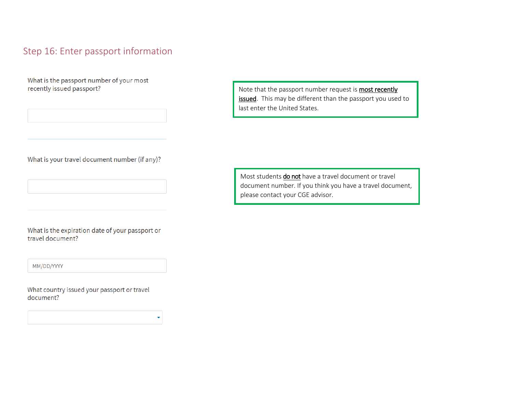### Step 16: Enter passport information

What is the passport number of your most recently issued passport?

What is your travel document number (if any)?

What is the expiration date of your passport or travel document?

MM/DD/YYYY

What country issued your passport or travel document?

Note that the passport number request is **most recently** issued. This may be different than the passport you used to last enter the United States.

Most students do not have a travel document or travel document number. If you think you have a travel document, please contact [your CGE advisor.](mailto:iss@marshall.edu)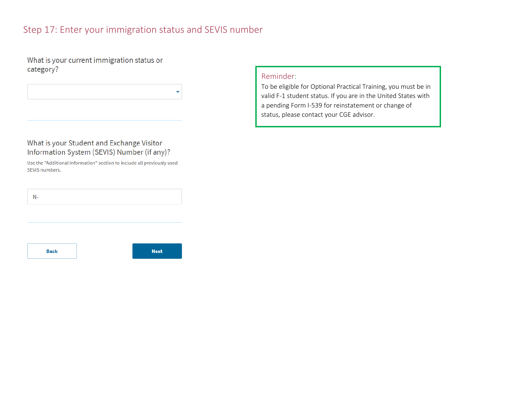### Step 17: Enter your immigration status and SEVIS number

What is your current immigration status or category?

#### What is your Student and Exchange Visitor Information System (SEVIS) Number (if any)?

Use the "Additional Information" section to include all previously used SEVIS numbers.

 $N-$ 

**Back** 



#### Reminder:

To be eligible for Optional Practical Training, you must be in valid F-1 student status. If you are in the United States with a pending Form I-539 for reinstatement or change of status, please contact [your CGE advisor.](mailto:iss@marshall.edu)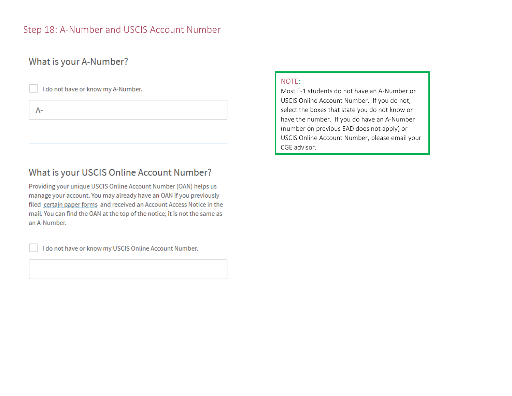### Step 18: A-Number and USCIS Account Number

### What is your A-Number?

I do not have or know my A-Number.

 $A-$ 

## What is your USCIS Online Account Number?

Providing your unique USCIS Online Account Number (OAN) helps us manage your account. You may already have an OAN if you previously filed certain paper forms and received an Account Access Notice in the mail. You can find the OAN at the top of the notice; it is not the same as an A-Number.

I do not have or know my USCIS Online Account Number.

#### NOTE:

Most F-1 students do not have an A-Number or USCIS Online Account Number. If you do not, select the boxes that state you do not know or have the number. If you do have an A-Number (number on previous EAD does not apply) or [USCIS Online](mailto:iss@marshall.edu) Account Number, please email your CGE advisor.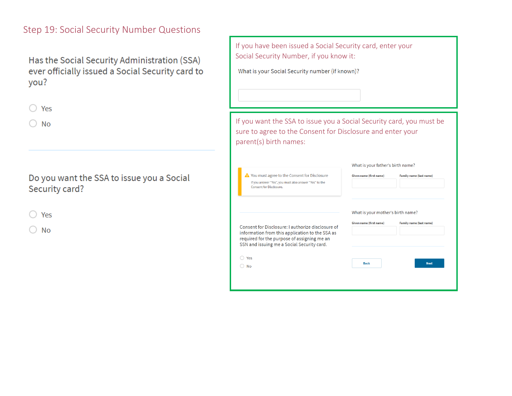### Step 19: Social Security Number Questions

Has the Social Security Administration (SSA) ever officially issued a Social Security card to you?

|  | _____ |
|--|-------|
|--|-------|

 $\bigcirc$  No

Do you want the SSA to issue you a Social Security card?

|--|--|

 $\bigcirc$  No

| If you have been issued a Social Security card, enter your<br>Social Security Number, if you know it:                                                                                            |                                                              |                                |
|--------------------------------------------------------------------------------------------------------------------------------------------------------------------------------------------------|--------------------------------------------------------------|--------------------------------|
| What is your Social Security number (if known)?                                                                                                                                                  |                                                              |                                |
|                                                                                                                                                                                                  |                                                              |                                |
|                                                                                                                                                                                                  |                                                              |                                |
| If you want the SSA to issue you a Social Security card, you must be<br>sure to agree to the Consent for Disclosure and enter your<br>parent(s) birth names:                                     |                                                              |                                |
| What is your father's birth name?                                                                                                                                                                |                                                              |                                |
| A You must agree to the Consent for Disclosure<br>If you answer "Yes", you must also answer "Yes" to the<br><b>Consent for Disclosure.</b>                                                       | Given name (first name)                                      | <b>Family name (last name)</b> |
| Consent for Disclosure: Lauthorize disclosure of<br>information from this application to the SSA as<br>required for the purpose of assigning me an<br>SSN and issuing me a Social Security card. | What is your mother's birth name?<br>Given name (first name) | Family name (last name)        |
| O Yes                                                                                                                                                                                            | <b>Back</b>                                                  | <b>Next</b>                    |
| $\bigcirc$ No                                                                                                                                                                                    |                                                              |                                |
|                                                                                                                                                                                                  |                                                              |                                |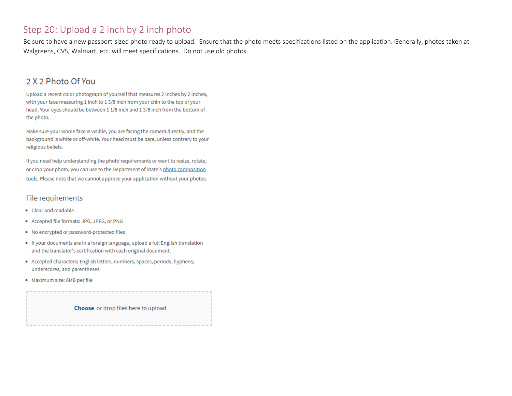### Step 20: Upload a 2 inch by 2 inch photo

Be sure to have a new passport-sized photo ready to upload. Ensure that the photo meets specifications listed on the application. Generally, photos taken at Walgreens, CVS, Walmart, etc. will meet specifications. Do not use old photos.

### 2 X 2 Photo Of You

Upload a recent color photograph of yourself that measures 2 inches by 2 inches, with your face measuring 1 inch to 13/8 inch from your chin to the top of your head. Your eyes should be between 1 1/8 inch and 1 3/8 inch from the bottom of the photo.

Make sure your whole face is visible, you are facing the camera directly, and the background is white or off-white. Your head must be bare, unless contrary to your religious beliefs.

If you need help understanding the photo requirements or want to resize, rotate, or crop your photo, you can use to the Department of State's photo composition tools. Please note that we cannot approve your application without your photos.

#### File requirements

- Clear and readable
- · Accepted file formats: JPG, JPEG, or PNG
- . No encrypted or password-protected files
- If your documents are in a foreign language, upload a full English translation and the translator's certification with each original document.
- Accepted characters: English letters, numbers, spaces, periods, hyphens, underscores, and parentheses
- · Maximum size: 6MB per file

Choose or drop files here to upload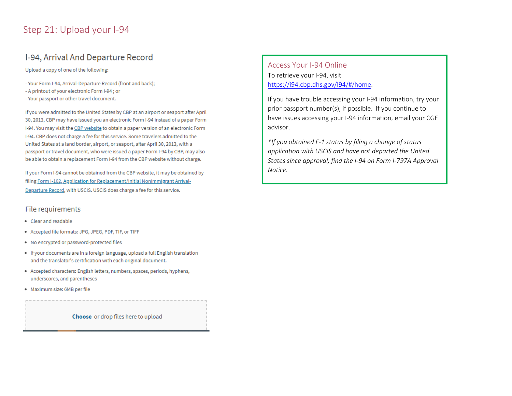### Step 21: Upload your I-94

### I-94, Arrival And Departure Record

Upload a copy of one of the following:

- Your Form I-94, Arrival-Departure Record (front and back);
- A printout of your electronic Form I-94; or
- Your passport or other travel document.

If you were admitted to the United States by CBP at an airport or seaport after April 30, 2013, CBP may have issued you an electronic Form I-94 instead of a paper Form I-94. You may visit the CBP website to obtain a paper version of an electronic Form 1-94. CBP does not charge a fee for this service. Some travelers admitted to the United States at a land border, airport, or seaport, after April 30, 2013, with a passport or travel document, who were issued a paper Form I-94 by CBP, may also be able to obtain a replacement Form I-94 from the CBP website without charge.

If your Form I-94 cannot be obtained from the CBP website, it may be obtained by filing Form I-102, Application for Replacement/Initial Nonimmigrant Arrival-Departure Record, with USCIS. USCIS does charge a fee for this service.

#### File requirements

- Clear and readable
- Accepted file formats: JPG, JPEG, PDF, TIF, or TIFF
- . No encrypted or password-protected files
- If your documents are in a foreign language, upload a full English translation and the translator's certification with each original document.
- Accepted characters: English letters, numbers, spaces, periods, hyphens, underscores, and parentheses
- · Maximum size: 6MB per file

**Choose** or drop files here to upload

Access Your I-94 Online To retrieve your I-94, visit https://i94.cbp.dhs.gov/l94/#/home.

If you have trouble accessing your I-94 information, try your prior passport number(s), if possible. If you continue to have issues accessing your I-94 information, email your CGE advisor.

\*If you obtained F-1 status by filing a change of status application with USCIS and have not departed the United States since approval, find the I-94 on Form I-797A Approval Notice.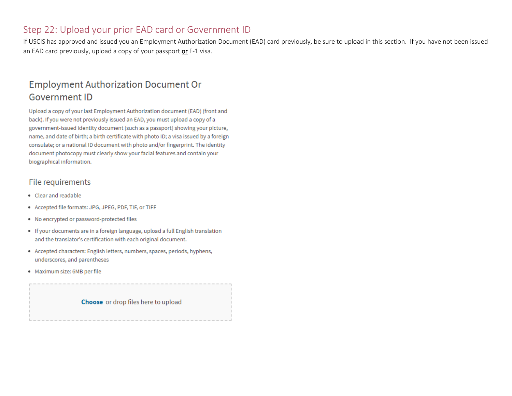### Step 22: Upload your prior EAD card or Government ID

If USCIS has approved and issued you an Employment Authorization Document (EAD) card previously, be sure to upload in this section. If you have not been issued an EAD card previously, upload a copy of your passport or F-1 visa.

# **Employment Authorization Document Or Government ID**

Upload a copy of your last Employment Authorization document (EAD) (front and back). If you were not previously issued an EAD, you must upload a copy of a government-issued identity document (such as a passport) showing your picture, name, and date of birth; a birth certificate with photo ID; a visa issued by a foreign consulate; or a national ID document with photo and/or fingerprint. The identity document photocopy must clearly show your facial features and contain your biographical information.

#### File requirements

- Clear and readable
- Accepted file formats: JPG, JPEG, PDF, TIF, or TIFF
- . No encrypted or password-protected files
- If your documents are in a foreign language, upload a full English translation and the translator's certification with each original document.
- Accepted characters: English letters, numbers, spaces, periods, hyphens, underscores, and parentheses
- · Maximum size: 6MB per file

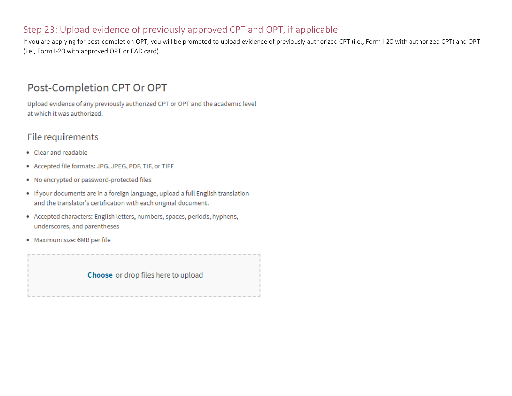### Step 23: Upload evidence of previously approved CPT and OPT, if applicable

If you are applying for post-completion OPT, you will be prompted to upload evidence of previously authorized CPT (i.e., Form I-20 with authorized CPT) and OPT (i.e., Form I-20 with approved OPT or EAD card).

# Post-Completion CPT Or OPT

Upload evidence of any previously authorized CPT or OPT and the academic level at which it was authorized.

### File requirements

- Clear and readable
- Accepted file formats: JPG, JPEG, PDF, TIF, or TIFF
- . No encrypted or password-protected files
- . If your documents are in a foreign language, upload a full English translation and the translator's certification with each original document.
- Accepted characters: English letters, numbers, spaces, periods, hyphens, underscores, and parentheses
- · Maximum size: 6MB per file

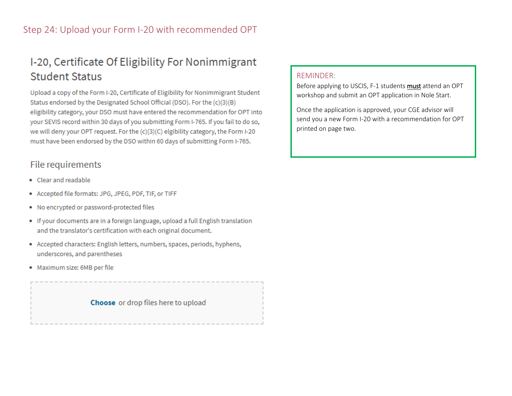# I-20, Certificate Of Eligibility For Nonimmigrant **Student Status**

Upload a copy of the Form I-20, Certificate of Eligibility for Nonimmigrant Student Status endorsed by the Designated School Official (DSO). For the (c)(3)(B) eligibility category, your DSO must have entered the recommendation for OPT into your SEVIS record within 30 days of you submitting Form I-765. If you fail to do so, we will deny your OPT request. For the (c)(3)(C) elgibility category, the Form I-20 must have been endorsed by the DSO within 60 days of submitting Form I-765.

### File requirements

- Clear and readable
- Accepted file formats: JPG, JPEG, PDF, TIF, or TIFF
- . No encrypted or password-protected files
- If your documents are in a foreign language, upload a full English translation and the translator's certification with each original document.
- Accepted characters: English letters, numbers, spaces, periods, hyphens, underscores, and parentheses
- · Maximum size: 6MB per file

Choose or drop files here to upload

#### REMINDER:

Before applying to USCIS, F-1 students must attend an OPT workshop and submit an OPT application in Nole Start.

Once the application is approved, your CGE advisor will send you a new Form I-20 with [a recommendation](http://www.marshall.edu/iss/optional-practical-training) for OPT printed on page two.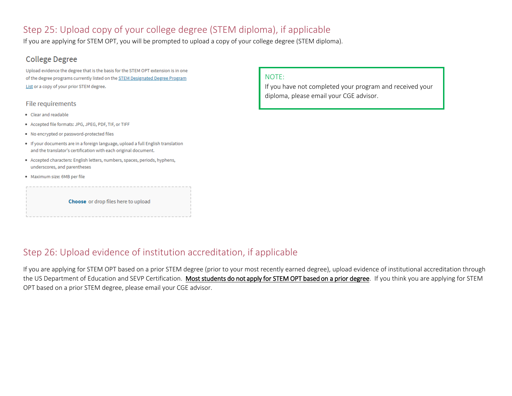### Step 25: Upload copy of your college degree (STEM diploma), if applicable

If you are applying for STEM OPT, you will be prompted to upload a copy of your college degree (STEM diploma).

#### **College Degree**

Upload evidence the degree that is the basis for the STEM OPT extension is in one of the degree programs currently listed on the STEM Designated Degree Program List or a copy of your prior STEM degree.

#### File requirements

- Clear and readable
- · Accepted file formats: JPG, JPEG, PDF, TIF, or TIFF
- . No encrypted or password-protected files
- If your documents are in a foreign language, upload a full English translation and the translator's certification with each original document.
- Accepted characters: English letters, numbers, spaces, periods, hyphens, underscores, and parentheses
- · Maximum size: 6MB per file

Choose or drop files here to upload

#### NOTE:

If you have not completed your program and received your diploma, please email [your CGE advisor.](mailto:iss@marshall.eud)

### Step 26: Upload evidence of institution accreditation, if applicable

If you are applying for STEM OPT based on a prior STEM degree (prior to your most recently earned degree), upload evidence of institutional accreditation through the US Department of Education and SEVP Certification. Most students do not apply for STEM OPT based on a prior degree. If you think you are applying for STEM OPT based on a prior STEM degree, please email [your CGE advisor.](mailto:iss@marshall.edu)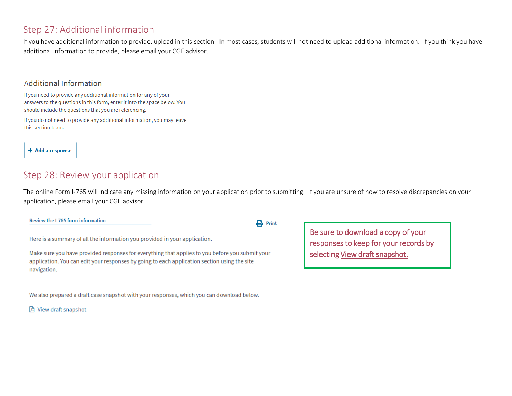### Step 27: Additional information

If you have additional information to provide, upload in this section. In most cases, students will not need to upload additional information. If you think you have additional information to provide, please email [your CGE advisor.](mailto:iss@marshall.edu) 

#### **Additional Information**

If you need to provide any additional information for any of your answers to the questions in this form, enter it into the space below. You should include the questions that you are referencing.

If you do not need to provide any additional information, you may leave this section blank.

+ Add a response

### Step 28: Review your application

The online Form I-765 will indicate any missing information on your application prior to submitting. If you are unsure of how to resolve discrepancies on your application, please email [your CGE advisor.](mailto:iss@marshall.edu)

#### Review the I-765 form information

Here is a summary of all the information you provided in your application.

Make sure you have provided responses for everything that applies to you before you submit your application. You can edit your responses by going to each application section using the site navigation.

We also prepared a draft case snapshot with your responses, which you can download below.

因 View draft snapshot

 $\mathbf{B}$  Print

Be sure to download a copy of your responses to keep for your records by selecting View draft snapshot.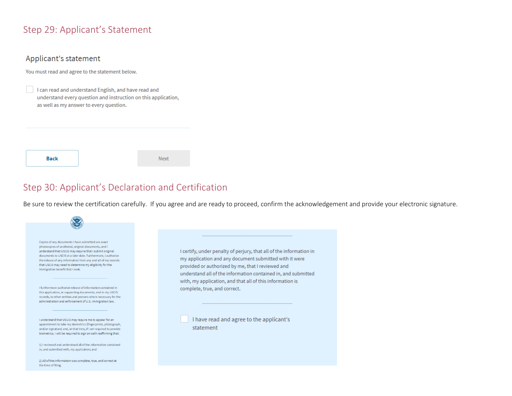### Step 29: Applicant's Statement

#### Applicant's statement

You must read and agree to the statement below.

I can read and understand English, and have read and understand every question and instruction on this application, as well as my answer to every question.

**Back** 

Next

### Step 30: Applicant's Declaration and Certification

Be sure to review the certification carefully. If you agree and are ready to proceed, confirm the acknowledgement and provide your electronic signature.